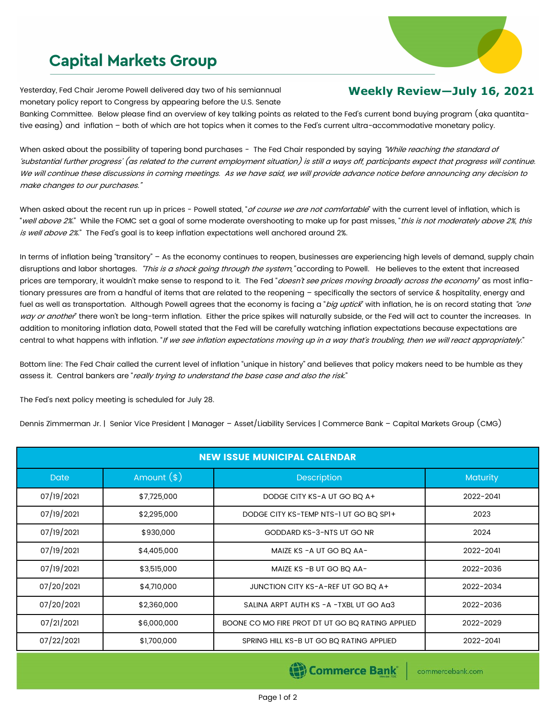## **Capital Markets Group**

Yesterday, Fed Chair Jerome Powell delivered day two of his semiannual monetary policy report to Congress by appearing before the U.S. Senate

## **Weekly Review—July 16, 2021**

Banking Committee. Below please find an overview of key talking points as related to the Fed's current bond buying program (aka quantitative easing) and inflation – both of which are hot topics when it comes to the Fed's current ultra-accommodative monetary policy.

When asked about the possibility of tapering bond purchases - The Fed Chair responded by saying "While reaching the standard of 'substantial further progress' (as related to the current employment situation) is still a ways off, participants expect that progress will continue. We will continue these discussions in coming meetings. As we have said, we will provide advance notice before announcing any decision to make changes to our purchases."

When asked about the recent run up in prices - Powell stated, "of course we are not comfortable" with the current level of inflation, which is "well above 2%." While the FOMC set a goal of some moderate overshooting to make up for past misses, "this is not moderately above 2%, this is well above 2%." The Fed's goal is to keep inflation expectations well anchored around 2%.

In terms of inflation being "transitory" – As the economy continues to reopen, businesses are experiencing high levels of demand, supply chain disruptions and labor shortages. "This is a shock going through the system," according to Powell. He believes to the extent that increased prices are temporary, it wouldn't make sense to respond to it. The Fed "doesn't see prices moving broadly across the economy" as most inflationary pressures are from a handful of items that are related to the reopening – specifically the sectors of service & hospitality, energy and fuel as well as transportation. Although Powell agrees that the economy is facing a "big uptick" with inflation, he is on record stating that "one way or another" there won't be long-term inflation. Either the price spikes will naturally subside, or the Fed will act to counter the increases. In addition to monitoring inflation data, Powell stated that the Fed will be carefully watching inflation expectations because expectations are central to what happens with inflation. "If we see inflation expectations moving up in a way that's troubling, then we will react appropriately."

Bottom line: The Fed Chair called the current level of inflation "unique in history" and believes that policy makers need to be humble as they assess it. Central bankers are "really trying to understand the base case and also the risk."

The Fed's next policy meeting is scheduled for July 28.

Dennis Zimmerman Jr. | Senior Vice President | Manager – Asset/Liability Services | Commerce Bank – Capital Markets Group (CMG)

| <b>NEW ISSUE MUNICIPAL CALENDAR</b> |              |                                                  |                 |  |  |
|-------------------------------------|--------------|--------------------------------------------------|-----------------|--|--|
| <b>Date</b>                         | Amount $(*)$ | Description                                      | <b>Maturity</b> |  |  |
| 07/19/2021                          | \$7,725,000  | DODGE CITY KS-A UT GO BQ A+                      | 2022-2041       |  |  |
| 07/19/2021                          | \$2,295,000  | DODGE CITY KS-TEMP NTS-1 UT GO BQ SPI+           | 2023            |  |  |
| 07/19/2021                          | \$930,000    | GODDARD KS-3-NTS UT GO NR                        | 2024            |  |  |
| 07/19/2021                          | \$4,405,000  | MAIZE KS - A UT GO BQ AA-                        | 2022-2041       |  |  |
| 07/19/2021                          | \$3,515,000  | MAIZE KS - B UT GO BQ AA-                        | 2022-2036       |  |  |
| 07/20/2021                          | \$4,710,000  | JUNCTION CITY KS-A-REF UT GO BQ A+               | 2022-2034       |  |  |
| 07/20/2021                          | \$2,360,000  | SALINA ARPT AUTH KS - A - TXBL UT GO AG3         | 2022-2036       |  |  |
| 07/21/2021                          | \$6,000,000  | BOONE CO MO FIRE PROT DT UT GO BO RATING APPLIED | 2022-2029       |  |  |
| 07/22/2021                          | \$1,700,000  | SPRING HILL KS-B UT GO BQ RATING APPLIED         | 2022-2041       |  |  |

Commerce Bank

commercebank.com